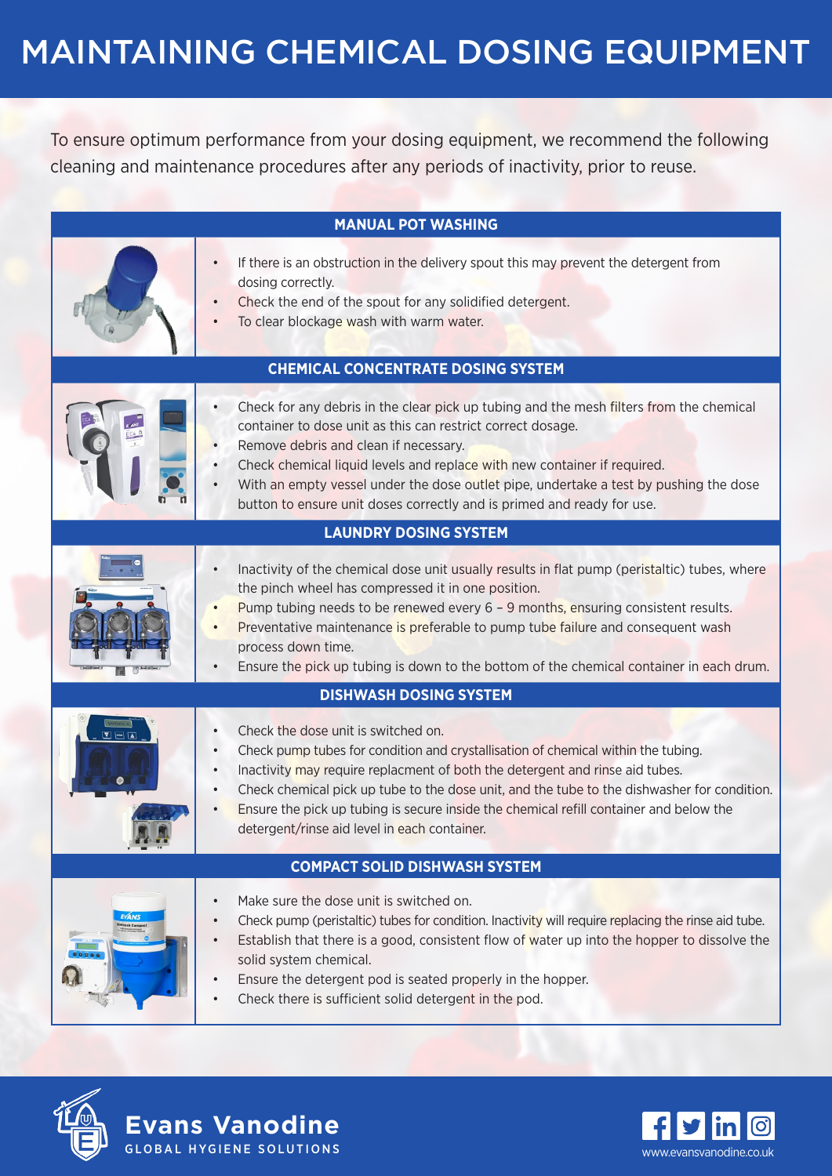## MAINTAINING CHEMICAL DOSING EQUIPMENT

To ensure optimum performance from your dosing equipment, we recommend the following cleaning and maintenance procedures after any periods of inactivity, prior to reuse.

|                                           | <b>MANUAL POT WASHING</b>                                                                                                                                                                                                                                                                                                                                                                                                                                                                        |
|-------------------------------------------|--------------------------------------------------------------------------------------------------------------------------------------------------------------------------------------------------------------------------------------------------------------------------------------------------------------------------------------------------------------------------------------------------------------------------------------------------------------------------------------------------|
|                                           | If there is an obstruction in the delivery spout this may prevent the detergent from<br>$\bullet$<br>dosing correctly.<br>Check the end of the spout for any solidified detergent.<br>To clear blockage wash with warm water.<br>$\bullet$                                                                                                                                                                                                                                                       |
| <b>CHEMICAL CONCENTRATE DOSING SYSTEM</b> |                                                                                                                                                                                                                                                                                                                                                                                                                                                                                                  |
|                                           | Check for any debris in the clear pick up tubing and the mesh filters from the chemical<br>$\bullet$<br>container to dose unit as this can restrict correct dosage.<br>Remove debris and clean if necessary.<br>Check chemical liquid levels and replace with new container if required.<br>With an empty vessel under the dose outlet pipe, undertake a test by pushing the dose<br>$\bullet$<br>button to ensure unit doses correctly and is primed and ready for use.                         |
| <b>LAUNDRY DOSING SYSTEM</b>              |                                                                                                                                                                                                                                                                                                                                                                                                                                                                                                  |
|                                           | Inactivity of the chemical dose unit usually results in flat pump (peristaltic) tubes, where<br>$\bullet$<br>the pinch wheel has compressed it in one position.<br>Pump tubing needs to be renewed every $6 - 9$ months, ensuring consistent results.<br>$\bullet$<br>Preventative maintenance is preferable to pump tube failure and consequent wash<br>$\bullet$<br>process down time.<br>Ensure the pick up tubing is down to the bottom of the chemical container in each drum.<br>$\bullet$ |
| <b>DISHWASH DOSING SYSTEM</b>             |                                                                                                                                                                                                                                                                                                                                                                                                                                                                                                  |
| $\Sigma = \overline{\Delta}$              | Check the dose unit is switched on.<br>$\bullet$<br>Check pump tubes for condition and crystallisation of chemical within the tubing.<br>$\bullet$<br>Inactivity may require replacment of both the detergent and rinse aid tubes.<br>Check chemical pick up tube to the dose unit, and the tube to the dishwasher for condition.<br>Ensure the pick up tubing is secure inside the chemical refill container and below the<br>detergent/rinse aid level in each container.                      |
| <b>COMPACT SOLID DISHWASH SYSTEM</b>      |                                                                                                                                                                                                                                                                                                                                                                                                                                                                                                  |
|                                           | Make sure the dose unit is switched on.<br>$\bullet$<br>Check pump (peristaltic) tubes for condition. Inactivity will require replacing the rinse aid tube.<br>$\bullet$<br>Establish that there is a good, consistent flow of water up into the hopper to dissolve the<br>$\bullet$<br>solid system chemical.<br>Ensure the detergent pod is seated properly in the hopper.<br>$\bullet$<br>Check there is sufficient solid detergent in the pod.<br>$\bullet$                                  |